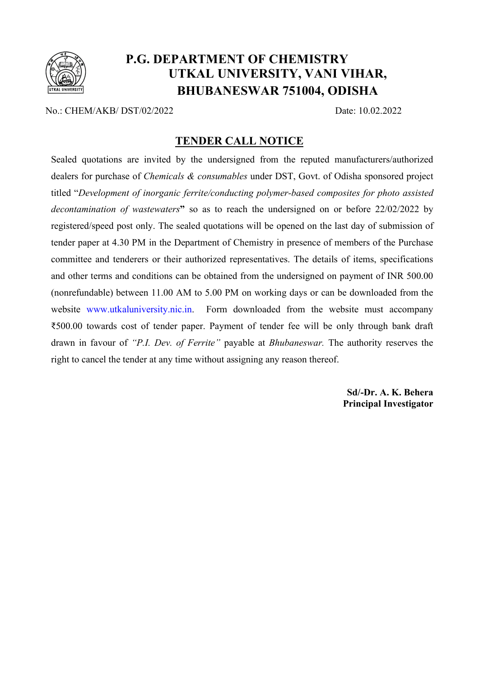

## P.G. DEPARTMENT OF CHEMISTRY UTKAL UNIVERSITY, VANI VIHAR, BHUBANESWAR 751004, ODISHA

No.: CHEM/AKB/ DST/02/2022 Date: 10.02.2022

#### TENDER CALL NOTICE

Sealed quotations are invited by the undersigned from the reputed manufacturers/authorized dealers for purchase of *Chemicals & consumables* under DST, Govt. of Odisha sponsored project titled "Development of inorganic ferrite/conducting polymer-based composites for photo assisted decontamination of wastewaters" so as to reach the undersigned on or before 22/02/2022 by registered/speed post only. The sealed quotations will be opened on the last day of submission of tender paper at 4.30 PM in the Department of Chemistry in presence of members of the Purchase committee and tenderers or their authorized representatives. The details of items, specifications and other terms and conditions can be obtained from the undersigned on payment of INR 500.00 (nonrefundable) between 11.00 AM to 5.00 PM on working days or can be downloaded from the website www.utkaluniversity.nic.in. Form downloaded from the website must accompany ₹500.00 towards cost of tender paper. Payment of tender fee will be only through bank draft drawn in favour of "P.I. Dev. of Ferrite" payable at Bhubaneswar. The authority reserves the right to cancel the tender at any time without assigning any reason thereof.

> Sd/-Dr. A. K. Behera Principal Investigator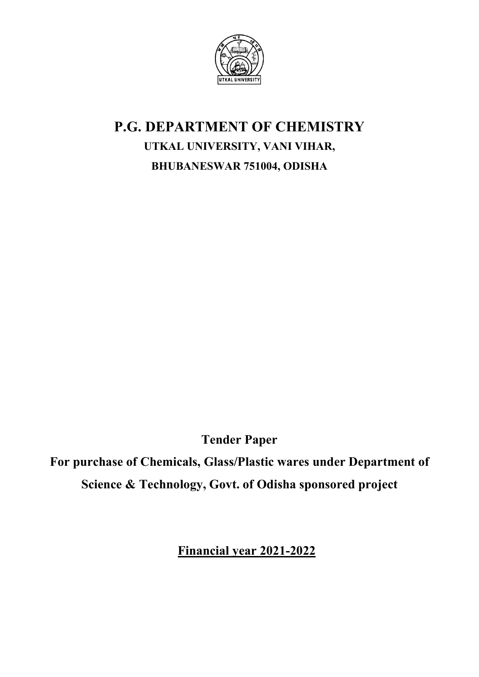

# P.G. DEPARTMENT OF CHEMISTRY UTKAL UNIVERSITY, VANI VIHAR, BHUBANESWAR 751004, ODISHA

Tender Paper

For purchase of Chemicals, Glass/Plastic wares under Department of Science & Technology, Govt. of Odisha sponsored project

Financial year 2021-2022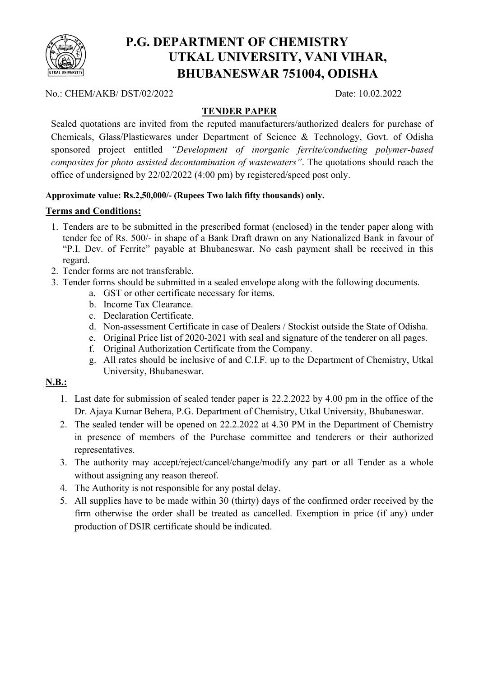

## P.G. DEPARTMENT OF CHEMISTRY UTKAL UNIVERSITY, VANI VIHAR, BHUBANESWAR 751004, ODISHA

No.: CHEM/AKB/ DST/02/2022 Date: 10.02.2022

#### TENDER PAPER

Sealed quotations are invited from the reputed manufacturers/authorized dealers for purchase of Chemicals, Glass/Plasticwares under Department of Science & Technology, Govt. of Odisha sponsored project entitled "Development of inorganic ferrite/conducting polymer-based composites for photo assisted decontamination of wastewaters". The quotations should reach the office of undersigned by 22/02/2022 (4:00 pm) by registered/speed post only.

#### Approximate value: Rs.2,50,000/- (Rupees Two lakh fifty thousands) only.

#### Terms and Conditions:

- 1. Tenders are to be submitted in the prescribed format (enclosed) in the tender paper along with tender fee of Rs. 500/- in shape of a Bank Draft drawn on any Nationalized Bank in favour of "P.I. Dev. of Ferrite" payable at Bhubaneswar. No cash payment shall be received in this regard.
- 2. Tender forms are not transferable.
- 3. Tender forms should be submitted in a sealed envelope along with the following documents.
	- a. GST or other certificate necessary for items.
	- b. Income Tax Clearance.
	- c. Declaration Certificate.
	- d. Non-assessment Certificate in case of Dealers / Stockist outside the State of Odisha.
	- e. Original Price list of 2020-2021 with seal and signature of the tenderer on all pages.
	- f. Original Authorization Certificate from the Company.
	- g. All rates should be inclusive of and C.I.F. up to the Department of Chemistry, Utkal University, Bhubaneswar.

#### N.B.:

- 1. Last date for submission of sealed tender paper is 22.2.2022 by 4.00 pm in the office of the Dr. Ajaya Kumar Behera, P.G. Department of Chemistry, Utkal University, Bhubaneswar.
- 2. The sealed tender will be opened on 22.2.2022 at 4.30 PM in the Department of Chemistry in presence of members of the Purchase committee and tenderers or their authorized representatives.
- 3. The authority may accept/reject/cancel/change/modify any part or all Tender as a whole without assigning any reason thereof.
- 4. The Authority is not responsible for any postal delay.
- 5. All supplies have to be made within 30 (thirty) days of the confirmed order received by the firm otherwise the order shall be treated as cancelled. Exemption in price (if any) under production of DSIR certificate should be indicated.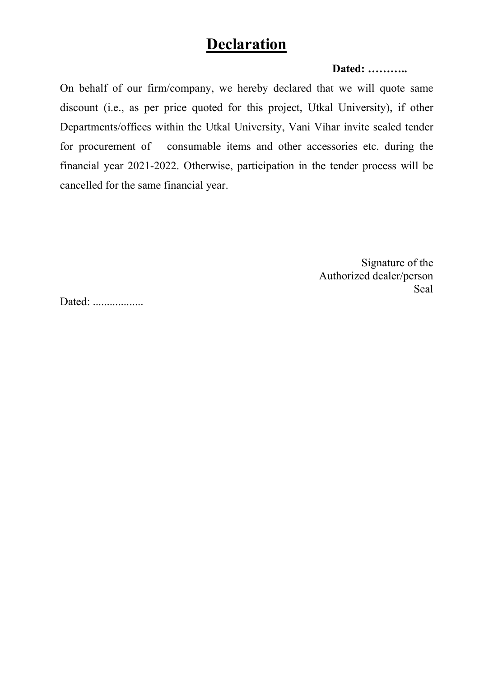## **Declaration**

#### Dated: ………..

On behalf of our firm/company, we hereby declared that we will quote same discount (i.e., as per price quoted for this project, Utkal University), if other Departments/offices within the Utkal University, Vani Vihar invite sealed tender for procurement of consumable items and other accessories etc. during the financial year 2021-2022. Otherwise, participation in the tender process will be cancelled for the same financial year.

> Signature of the Authorized dealer/person Seal

Dated: ..................